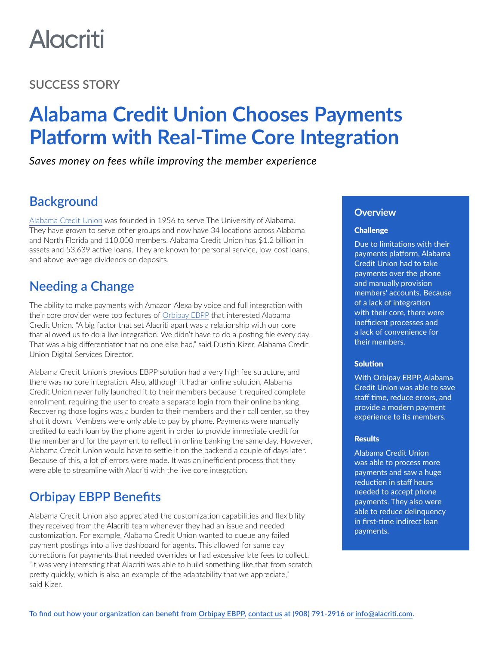# **Alacriti**

## **SUCCESS STORY**

## **Alabama Credit Union Chooses Payments Platform with Real-Time Core Integration**

*Saves money on fees while improving the member experience*

## **Background**

[Alabama Credit Union](https://www.alabamacu.com/) was founded in 1956 to serve The University of Alabama. They have grown to serve other groups and now have 34 locations across Alabama and North Florida and 110,000 members. Alabama Credit Union has \$1.2 billion in assets and 53,639 active loans. They are known for personal service, low-cost loans, and above-average dividends on deposits.

## **Needing a Change**

The ability to make payments with Amazon Alexa by voice and full integration with their core provider were top features of [Orbipay EBPP](https://www.alacriti.com/orbipay-ebpp) that interested Alabama Credit Union. "A big factor that set Alacriti apart was a relationship with our core that allowed us to do a live integration. We didn't have to do a posting file every day. That was a big differentiator that no one else had," said Dustin Kizer, Alabama Credit Union Digital Services Director.

Alabama Credit Union's previous EBPP solution had a very high fee structure, and there was no core integration. Also, although it had an online solution, Alabama Credit Union never fully launched it to their members because it required complete enrollment, requiring the user to create a separate login from their online banking. Recovering those logins was a burden to their members and their call center, so they shut it down. Members were only able to pay by phone. Payments were manually credited to each loan by the phone agent in order to provide immediate credit for the member and for the payment to reflect in online banking the same day. However, Alabama Credit Union would have to settle it on the backend a couple of days later. Because of this, a lot of errors were made. It was an inefficient process that they were able to streamline with Alacriti with the live core integration.

## **Orbipay EBPP Benefits**

Alabama Credit Union also appreciated the customization capabilities and flexibility they received from the Alacriti team whenever they had an issue and needed customization. For example, Alabama Credit Union wanted to queue any failed payment postings into a live dashboard for agents. This allowed for same day corrections for payments that needed overrides or had excessive late fees to collect. "It was very interesting that Alacriti was able to build something like that from scratch pretty quickly, which is also an example of the adaptability that we appreciate," said Kizer.

#### **Overview**

#### **Challenge**

Due to limitations with their payments platform, Alabama Credit Union had to take payments over the phone and manually provision members' accounts. Because of a lack of integration with their core, there were inefficient processes and a lack of convenience for their members.

#### Solution

With Orbipay EBPP, Alabama Credit Union was able to save staff time, reduce errors, and provide a modern payment experience to its members.

#### **Results**

Alabama Credit Union was able to process more payments and saw a huge reduction in staff hours needed to accept phone payments. They also were able to reduce delinquency in first-time indirect loan payments.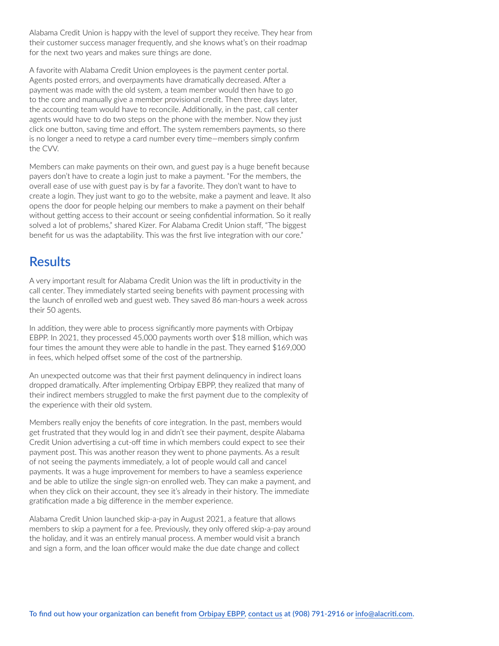Alabama Credit Union is happy with the level of support they receive. They hear from their customer success manager frequently, and she knows what's on their roadmap for the next two years and makes sure things are done.

A favorite with Alabama Credit Union employees is the payment center portal. Agents posted errors, and overpayments have dramatically decreased. After a payment was made with the old system, a team member would then have to go to the core and manually give a member provisional credit. Then three days later, the accounting team would have to reconcile. Additionally, in the past, call center agents would have to do two steps on the phone with the member. Now they just click one button, saving time and effort. The system remembers payments, so there is no longer a need to retype a card number every time—members simply confirm the CVV.

Members can make payments on their own, and guest pay is a huge benefit because payers don't have to create a login just to make a payment. "For the members, the overall ease of use with guest pay is by far a favorite. They don't want to have to create a login. They just want to go to the website, make a payment and leave. It also opens the door for people helping our members to make a payment on their behalf without getting access to their account or seeing confidential information. So it really solved a lot of problems," shared Kizer. For Alabama Credit Union staff, "The biggest benefit for us was the adaptability. This was the first live integration with our core."

### **Results**

A very important result for Alabama Credit Union was the lift in productivity in the call center. They immediately started seeing benefits with payment processing with the launch of enrolled web and guest web. They saved 86 man-hours a week across their 50 agents.

In addition, they were able to process significantly more payments with Orbipay EBPP. In 2021, they processed 45,000 payments worth over \$18 million, which was four times the amount they were able to handle in the past. They earned \$169,000 in fees, which helped offset some of the cost of the partnership.

An unexpected outcome was that their first payment delinquency in indirect loans dropped dramatically. After implementing Orbipay EBPP, they realized that many of their indirect members struggled to make the first payment due to the complexity of the experience with their old system.

Members really enjoy the benefits of core integration. In the past, members would get frustrated that they would log in and didn't see their payment, despite Alabama Credit Union advertising a cut-off time in which members could expect to see their payment post. This was another reason they went to phone payments. As a result of not seeing the payments immediately, a lot of people would call and cancel payments. It was a huge improvement for members to have a seamless experience and be able to utilize the single sign-on enrolled web. They can make a payment, and when they click on their account, they see it's already in their history. The immediate gratification made a big difference in the member experience.

Alabama Credit Union launched skip-a-pay in August 2021, a feature that allows members to skip a payment for a fee. Previously, they only offered skip-a-pay around the holiday, and it was an entirely manual process. A member would visit a branch and sign a form, and the loan officer would make the due date change and collect